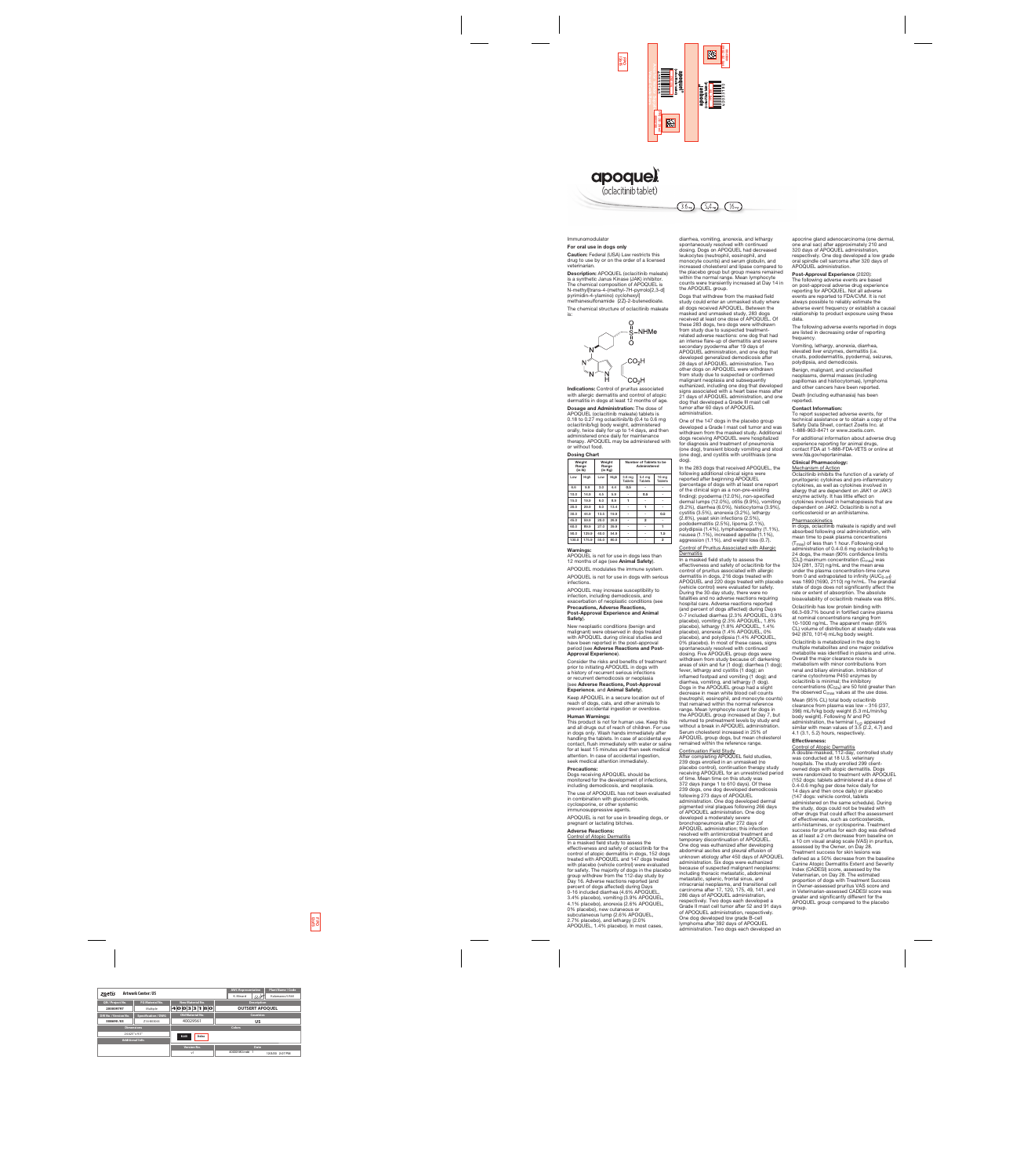

#### Immunomodulator

#### For oral use in dogs only

Caution: Federal (USA) Law restricts this drug to use by or on the order of a licensed veterinarian.

Description: APOQUEL (oclacitinib maleate) is a synthetic Janus Kinase (JAK) inhibitor. The chemical composition of APOQUEL is N-methyl[trans-4-(methyl-7H-pyrrolo[2,3-d] pyrimidin-4-ylamino) cyclohexyl] methanesulfonamide (2Z)-2-butenedioate.

The chemical structure of oclacitinib maleate is:



Indications: Control of pruritus associated with allergic dermatitis and control of atopic dermatitis in dogs at least 12 months of age.

APOQUEL is not for use in dogs less than 12 months of age (see Animal Safety).

Dosage and Administration: The dose of APOQUEL (oclacitinib maleate) tablets is 0.18 to 0.27 mg oclacitinib/lb (0.4 to 0.6 mg oclacitinib/kg) body weight, administered orally, twice daily for up to 14 days, and then administered once daily for maintenance therapy. APOQUEL may be administered with or without food.

APOQUEL may increase susceptibility to infection, including demodicosis, and exacerbation of neoplastic conditions (see Precautions, Adverse Reactions, Post-Approval Experience and Anima

#### Dosing Chart

| Weight<br>Range<br>(in lb) |       | Weight<br>Range<br>(in Kg) |      | Number of Tablets to be<br>Administered |                                     |                                    |
|----------------------------|-------|----------------------------|------|-----------------------------------------|-------------------------------------|------------------------------------|
| Low                        | High  | Low                        | High | 3.6 <sub>mg</sub><br><b>Tablets</b>     | 5.4 <sub>mg</sub><br><b>Tablets</b> | 16 <sub>mg</sub><br><b>Tablets</b> |
| 6.6                        | 9.9   | 3.0                        | 4.4  | 0.5                                     |                                     |                                    |
| 10.0                       | 14.9  | 4.5                        | 5.9  |                                         | 0.5                                 |                                    |
| 15.0                       | 19.9  | 6.0                        | 8.9  | 1                                       |                                     |                                    |
| 20.0                       | 29.9  | 9.0                        | 13.4 |                                         | 1                                   |                                    |
| 30.0                       | 44.9  | 13.5                       | 19.9 |                                         |                                     | 0.5                                |
| 45.0                       | 59.9  | 20.0                       | 26.9 |                                         | $\overline{2}$                      |                                    |
| 60.0                       | 89.9  | 27.0                       | 39.9 |                                         |                                     | 1                                  |
| 90.0                       | 129.9 | 40.0                       | 54.9 |                                         |                                     | 1.5                                |
| 130.0                      | 175.9 | 55.0                       | 80.0 |                                         |                                     | $\overline{2}$                     |

#### Warnings:

APOQUEL modulates the immune system.

APOQUEL is not for use in dogs with serious infections.

# Safety).

New neoplastic conditions (benign and malignant) were observed in dogs treated with APOQUEL during clinical studies and have been reported in the post-approval period (see Adverse Reactions and Post-Approval Experience).

Consider the risks and benefits of treatment prior to initiating APOQUEL in dogs with a history of recurrent serious infections or recurrent demodicosis or neoplasia (see Adverse Reactions, Post-Approval Experience, and Animal Safety).

Keep APOQUEL in a secure location out of reach of dogs, cats, and other animals to prevent accidental ingestion or overdose.

#### Human Warnings:

This product is not for human use. Keep this and all drugs out of reach of children. For use in dogs only. Wash hands immediately after handling the tablets. In case of accidental eye contact, flush immediately with water or saline for at least 15 minutes and then seek medical attention. In case of accidental ingestion, seek medical attention immediately.

#### Precautions:

Dogs receiving APOQUEL should be monitored for the development of infections, including demodicosis, and neoplasia.

The use of APOQUEL has not been evaluated in combination with glucocorticoids, cyclosporine, or other systemic immunosuppressive agents.

#### Control of Pruritus Associated with Allergic **Dermatitis**

APOQUEL is not for use in breeding dogs, or pregnant or lactating bitches.

#### Adverse Reactions:

Control of Atopic Dermatitis

In a masked field study to assess the effectiveness and safety of oclacitinib for the control of atopic dermatitis in dogs, 152 dogs treated with APOQUEL and 147 dogs treated with placebo (vehicle control) were evaluated for safety. The majority of dogs in the placebo group withdrew from the 112-day study by Day 16. Adverse reactions reported (and percent of dogs affected) during Days 0-16 included diarrhea (4.6% APOQUEL, 3.4% placebo), vomiting (3.9% APOQUEL, 4.1% placebo), anorexia (2.6% APOQUEL, 0% placebo), new cutaneous or subcutaneous lump (2.6% APOQUEL, 2.7% placebo), and lethargy (2.0% APOQUEL, 1.4% placebo). In most cases,

diarrhea, vomiting, anorexia, and lethargy spontaneously resolved with continued dosing. Dogs on APOQUEL had decreased leukocytes (neutrophil, eosinophil, and monocyte counts) and serum globulin, and increased cholesterol and lipase compared to the placebo group but group means remained within the normal range. Mean lymphocyte counts were transiently increased at Day 14 in the APOQUEL group.

Dogs that withdrew from the masked field study could enter an unmasked study where all dogs received APOQUEL. Between the masked and unmasked study, 283 dogs received at least one dose of APOQUEL. Of these 283 dogs, two dogs were withdrawn from study due to suspected treatmentrelated adverse reactions: one dog that had an intense flare-up of dermatitis and severe secondary pyoderma after 19 days of APOQUEL administration, and one dog that developed generalized demodicosis after 28 days of APOQUEL administration. Two other dogs on APOQUEL were withdrawn from study due to suspected or confirmed malignant neoplasia and subsequently euthanized, including one dog that developed signs associated with a heart base mass after 21 days of APOQUEL administration, and one dog that developed a Grade III mast cell tumor after 60 days of APOQUEL administration.

One of the 147 dogs in the placebo group developed a Grade I mast cell tumor and was withdrawn from the masked study. Additional dogs receiving APOQUEL were hospitalized for diagnosis and treatment of pneumonia (one dog), transient bloody vomiting and stool (one dog), and cystitis with urolithiasis (one dog).

In the 283 dogs that received APOQUEL, the following additional clinical signs were reported after beginning APOQUEL (percentage of dogs with at least one report of the clinical sign as a non-pre-existing finding): pyoderma (12.0%), non-specified dermal lumps (12.0%), otitis (9.9%), vomiting (9.2%), diarrhea (6.0%), histiocytoma (3.9%), cystitis (3.5%), anorexia (3.2%), lethargy (2.8%), yeast skin infections (2.5%), pododermatitis (2.5%), lipoma (2.1%), polydipsia (1.4%), lymphadenopathy (1.1%), nausea (1.1%), increased appetite (1.1%), aggression (1.1%), and weight loss (0.7).

> Oclacitinib is metabolized in the dog to multiple metabolites and one major oxidative metabolite was identified in plasma and urine. Overall the major clearance route is metabolism with minor contributions from renal and biliary elimination. Inhibition of canine cytochrome P450 enzymes by oclacitinib is minimal; the inhibitory concentrations (IC $_{50s}$ ) are 50 fold greater than the observed  $C_{\text{max}}$  values at the use dose.

In a masked field study to assess the effectiveness and safety of oclacitinib for the control of pruritus associated with allergic dermatitis in dogs, 216 dogs treated with APOQUEL and 220 dogs treated with placebo (vehicle control) were evaluated for safety. During the 30-day study, there were no fatalities and no adverse reactions requiring hospital care. Adverse reactions reported (and percent of dogs affected) during Days 0-7 included diarrhea (2.3% APOQUEL, 0.9% placebo), vomiting (2.3% APOQUEL, 1.8% placebo), lethargy (1.8% APOQUEL, 1.4% placebo), anorexia (1.4% APOQUEL, 0% placebo), and polydipsia (1.4% APOQUEL, 0% placebo). In most of these cases, signs spontaneously resolved with continued dosing. Five APOQUEL group dogs were withdrawn from study because of: darkening areas of skin and fur (1 dog); diarrhea (1 dog); fever, lethargy and cystitis (1 dog); an inflamed footpad and vomiting (1 dog); and diarrhea, vomiting, and lethargy (1 dog). Dogs in the APOQUEL group had a slight decrease in mean white blood cell counts (neutrophil, eosinophil, and monocyte counts) that remained within the normal reference range. Mean lymphocyte count for dogs in the APOQUEL group increased at Day 7, but returned to pretreatment levels by study end without a break in APOQUEL administration. Serum cholesterol increased in 25% of APOQUEL group dogs, but mean cholesterol remained within the reference range. Continuation Field Study After completing APOQUEL field studies, 239 dogs enrolled in an unmasked (no placebo control), continuation therapy study receiving APOQUEL for an unrestricted period of time. Mean time on this study was 372 days (range 1 to 610 days). Of these 239 dogs, one dog developed demodicosis following 273 days of APOQUEL administration. One dog developed dermal pigmented viral plaques following 266 days of APOQUEL administration. One dog developed a moderately severe bronchopneumonia after 272 days of APOQUEL administration; this infection resolved with antimicrobial treatment and temporary discontinuation of APOQUEL. One dog was euthanized after developing abdominal ascites and pleural effusion of unknown etiology after 450 days of APOQUEL administration. Six dogs were euthanized because of suspected malignant neoplasms: including thoracic metastatic, abdominal metastatic, splenic, frontal sinus, and intracranial neoplasms, and transitional cell carcinoma after 17, 120, 175, 49, 141, and 286 days of APOQUEL administration, respectively. Two dogs each developed a Grade II mast cell tumor after 52 and 91 days of APOQUEL administration, respectively. One dog developed low grade B-cell lymphoma after 392 days of APOQUEL administration. Two dogs each developed an

apocrine gland adenocarcinoma (one dermal, one anal sac) after approximately 210 and 320 days of APOQUEL administration, respectively. One dog developed a low grade oral spindle cell sarcoma after 320 days of APOQUEL administration.

#### Post-Approval Experience (2020):

The following adverse events are based on post-approval adverse drug experience reporting for APOQUEL. Not all adverse events are reported to FDA/CVM. It is not always possible to reliably estimate the adverse event frequency or establish a causal relationship to product exposure using these data.

The following adverse events reported in dogs are listed in decreasing order of reporting frequency.

Vomiting, lethargy, anorexia, diarrhea, elevated liver enzymes, dermatitis (i.e. crusts, pododermatitis, pyoderma), seizures, polydipsia, and demodicosis.

Benign, malignant, and unclassified neoplasms, dermal masses (including papillomas and histiocytomas), lymphoma and other cancers have been reported.

Death (including euthanasia) has been reported.

#### Contact Information:

To report suspected adverse events, for technical assistance or to obtain a copy of the Safety Data Sheet, contact Zoetis Inc. at 1-888-963-8471 or www.zoetis.com.

For additional information about adverse drug experience reporting for animal drugs, contact FDA at 1-888-FDA-VETS or online at www.fda.gov/reportanimalae.

# Clinical Pharmacology:

Mechanism of Action Oclacitinib inhibits the function of a variety of pruritogenic cytokines and pro-inflammatory cytokines, as well as cytokines involved in allergy that are dependent on JAK1 or JAK3 enzyme activity. It has little effect on cytokines involved in hematopoiesis that are dependent on JAK2. Oclacitinib is not a corticosteroid or an antihistamine.

#### **Pharmacokinetics**

In dogs, oclacitinib maleate is rapidly and well absorbed following oral administration, with mean time to peak plasma concentrations  $(T_{\text{max}})$  of less than 1 hour. Following oral administration of 0.4-0.6 mg oclacitinib/kg to 24 dogs, the mean (90% confidence limits [CL]) maximum concentration  $(C_{\text{max}})$  was 324 (281, 372) ng/mL and the mean area under the plasma concentration-time curve from 0 and extrapolated to infinity  $(AUC<sub>0-int</sub>)$ was 1890 (1690, 2110) ng·hr/mL. The prandial state of dogs does not significantly affect the rate or extent of absorption. The absolute bioavailability of oclacitinib maleate was 89%.

Oclacitinib has low protein binding with 66.3-69.7% bound in fortified canine plasma at nominal concentrations ranging from 10-1000 ng/mL. The apparent mean (95% CL) volume of distribution at steady-state was 942 (870, 1014) mL/kg body weight.

Mean (95% CL) total body oclacitinib clearance from plasma was low – 316 (237, 396) mL/h/kg body weight (5.3 mL/min/kg body weight). Following IV and PO administration, the terminal  $t_{1/2}$  appeared similar with mean values of 3.5 (2.2, 4.7) and 4.1 (3.1, 5.2) hours, respectively.

#### Effectiveness:

Control of Atopic Dermatitis

A double-masked, 112-day, controlled study was conducted at 18 U.S. veterinary hospitals. The study enrolled 299 clientowned dogs with atopic dermatitis. Dogs were randomized to treatment with APOQUEL (152 dogs: tablets administered at a dose of 0.4-0.6 mg/kg per dose twice daily for 14 days and then once daily) or placebo (147 dogs: vehicle control, tablets administered on the same schedule). During the study, dogs could not be treated with other drugs that could affect the assessment of effectiveness, such as corticosteroids, anti-histamines, or cyclosporine. Treatment success for pruritus for each dog was defined as at least a 2 cm decrease from baseline on a 10 cm visual analog scale (VAS) in pruritus, assessed by the Owner, on Day 28. Treatment success for skin lesions was defined as a 50% decrease from the baseline Canine Atopic Dermatitis Extent and Severity Index (CADESI) score, assessed by the Veterinarian, on Day 28. The estimated proportion of dogs with Treatment Success in Owner-assessed pruritus VAS score and in Veterinarian-assessed CADESI score was greater and significantly different for the APOQUEL group compared to the placebo group.